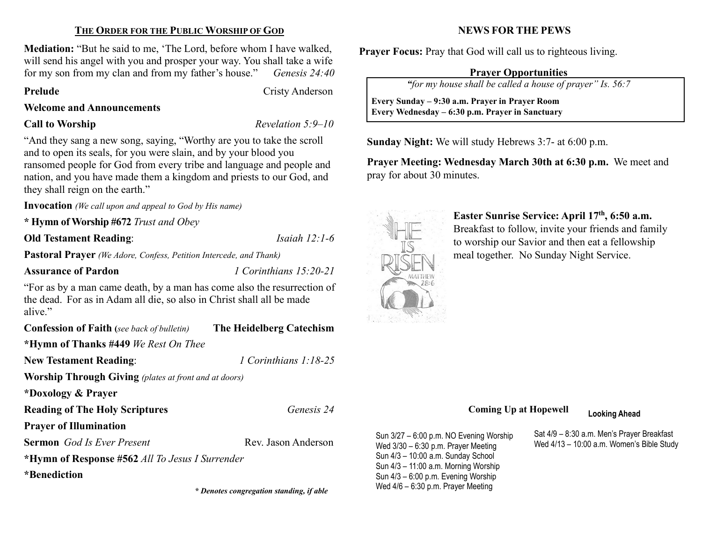## THE ORDER FOR THE PUBLIC WORSHIP OF GOD

Mediation: "But he said to me, 'The Lord, before whom I have walked, will send his angel with you and prosper your way. You shall take a wife for my son from my clan and from my father's house." Genesis 24:40

Prelude Cristy Anderson

#### Welcome and Announcements

**Call to Worship Revelation 5:9–10** 

"And they sang a new song, saying, "Worthy are you to take the scroll and to open its seals, for you were slain, and by your blood you ransomed people for God from every tribe and language and people and nation, and you have made them a kingdom and priests to our God, and they shall reign on the earth."

Invocation (We call upon and appeal to God by His name)

\* Hymn of Worship #672 Trust and Obey

Old Testament Reading: *Isaiah 12:1-6* 

Pastoral Prayer (We Adore, Confess, Petition Intercede, and Thank)

Assurance of Pardon *1 Corinthians 15:20-21* 

"For as by a man came death, by a man has come also the resurrection of the dead. For as in Adam all die, so also in Christ shall all be made alive."

| <b>Confession of Faith</b> (see back of bulletin)            | The Heidelberg Catechism |  |  |  |
|--------------------------------------------------------------|--------------------------|--|--|--|
| *Hymn of Thanks #449 We Rest On Thee                         |                          |  |  |  |
| <b>New Testament Reading:</b>                                | 1 Corinthians $1:18-25$  |  |  |  |
| <b>Worship Through Giving</b> (plates at front and at doors) |                          |  |  |  |
| *Doxology & Prayer                                           |                          |  |  |  |
| <b>Reading of The Holy Scriptures</b>                        | Genesis 24               |  |  |  |
| <b>Prayer of Illumination</b>                                |                          |  |  |  |
| <b>Sermon</b> God Is Ever Present                            | Rev. Jason Anderson      |  |  |  |
| *Hymn of Response #562 All To Jesus I Surrender              |                          |  |  |  |
| *Benediction                                                 |                          |  |  |  |

# NEWS FOR THE PEWS

Prayer Focus: Pray that God will call us to righteous living.

## Prayer Opportunities

"for my house shall be called a house of prayer" Is. 56:7

 Every Sunday – 9:30 a.m. Prayer in Prayer Room Every Wednesday – 6:30 p.m. Prayer in Sanctuary

Sunday Night: We will study Hebrews 3:7- at 6:00 p.m.

Prayer Meeting: Wednesday March 30th at 6:30 p.m. We meet and pray for about 30 minutes.



 $\overline{\phantom{a}}$ 

Easter Sunrise Service: April 17th, 6:50 a.m. Breakfast to follow, invite your friends and family to worship our Savior and then eat a fellowship meal together. No Sunday Night Service.

# Coming Up at Hopewell Looking Ahead

Sun 3/27 – 6:00 p.m. NO Evening Worship Wed 3/30 – 6:30 p.m. Prayer Meeting Sun 4/3 – 10:00 a.m. Sunday School Sun 4/3 – 11:00 a.m. Morning Worship Sun 4/3 – 6:00 p.m. Evening Worship \* Denotes congregation standing, if able Wed 4/6 - 6:30 p.m. Prayer Meeting

Sat 4/9 – 8:30 a.m. Men's Prayer Breakfast Wed 4/13 – 10:00 a.m. Women's Bible Study